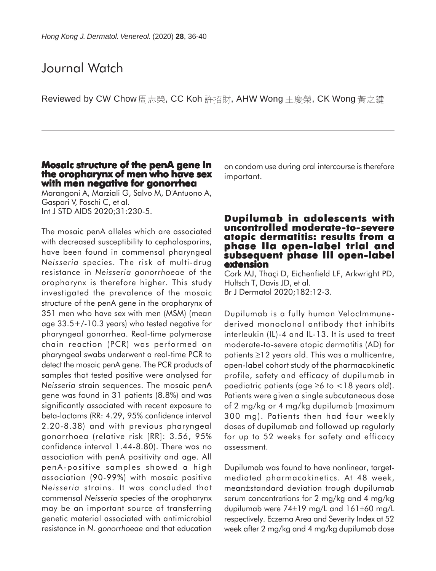# Journal Watch

Reviewed by CW Chow 周志榮, CC Koh 許招財, AHW Wong 王慶榮, CK Wong 黃之鍵

## **Mosaic structure of the penA gene in the oropharynx of men who have sex with men negative for gonorrhea**

Marangoni A, Marziali G, Salvo M, D'Antuono A, Gaspari V, Foschi C, et al. Int J STD AIDS 2020;31:230-5.

The mosaic penA alleles which are associated with decreased susceptibility to cephalosporins, have been found in commensal pharyngeal *Neisseria* species. The risk of multi-drug resistance in *Neisseria gonorrhoeae* of the oropharynx is therefore higher. This study investigated the prevalence of the mosaic structure of the penA gene in the oropharynx of 351 men who have sex with men (MSM) (mean age 33.5+/-10.3 years) who tested negative for pharyngeal gonorrhea. Real-time polymerase chain reaction (PCR) was performed on pharyngeal swabs underwent a real-time PCR to detect the mosaic penA gene. The PCR products of samples that tested positive were analysed for *Neisseria* strain sequences. The mosaic penA gene was found in 31 patients (8.8%) and was significantly associated with recent exposure to beta-lactams (RR: 4.29, 95% confidence interval 2.20-8.38) and with previous pharyngeal gonorrhoea (relative risk [RR]: 3.56, 95% confidence interval 1.44-8.80). There was no association with penA positivity and age. All penA-positive samples showed a high association (90-99%) with mosaic positive *Neisseria* strains. It was concluded that commensal *Neisseria* species of the oropharynx may be an important source of transferring genetic material associated with antimicrobial resistance in *N. gonorrhoeae* and that education

on condom use during oral intercourse is therefore important.

#### **Dupilumab in adolescents with uncontrolled moderate-to-severe atopic dermatitis: results from a phase IIa open-label trial and subsequent phase III open-label subsequent III open-label extension**

Cork MJ, Thaçi D, Eichenfield LF, Arkwright PD, Hultsch T, Davis JD, et al. Br J Dermatol 2020;182:12-3.

Dupilumab is a fully human VelocImmunederived monoclonal antibody that inhibits interleukin (IL)-4 and IL-13. It is used to treat moderate-to-severe atopic dermatitis (AD) for patients ≥12 years old. This was a multicentre, open-label cohort study of the pharmacokinetic profile, safety and efficacy of dupilumab in paediatric patients (age  $\geq$ 6 to  $<$  18 years old). Patients were given a single subcutaneous dose of 2 mg/kg or 4 mg/kg dupilumab (maximum 300 mg). Patients then had four weekly doses of dupilumab and followed up regularly for up to 52 weeks for safety and efficacy assessment.

Dupilumab was found to have nonlinear, targetmediated pharmacokinetics. At 48 week, mean±standard deviation trough dupilumab serum concentrations for 2 mg/kg and 4 mg/kg dupilumab were 74±19 mg/L and 161±60 mg/L respectively. Eczema Area and Severity Index at 52 week after 2 mg/kg and 4 mg/kg dupilumab dose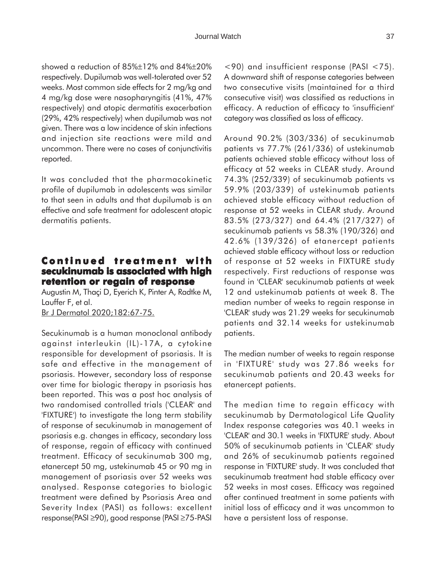showed a reduction of 85%±12% and 84%±20% respectively. Dupilumab was well-tolerated over 52 weeks. Most common side effects for 2 mg/kg and 4 mg/kg dose were nasopharyngitis (41%, 47% respectively) and atopic dermatitis exacerbation (29%, 42% respectively) when dupilumab was not given. There was a low incidence of skin infections and injection site reactions were mild and uncommon. There were no cases of conjunctivitis reported.

It was concluded that the pharmacokinetic profile of dupilumab in adolescents was similar to that seen in adults and that dupilumab is an effective and safe treatment for adolescent atopic dermatitis patients.

# **Continued treatment with secukinumab is associated with high retention or regain of response**

Augustin M, Thaçi D, Eyerich K, Pinter A, Radtke M, Lauffer F, et al. Br J Dermatol 2020;182:67-75.

Secukinumab is a human monoclonal antibody against interleukin (IL)-17A, a cytokine responsible for development of psoriasis. It is safe and effective in the management of psoriasis. However, secondary loss of response over time for biologic therapy in psoriasis has been reported. This was a post hoc analysis of two randomised controlled trials ('CLEAR' and 'FIXTURE') to investigate the long term stability of response of secukinumab in management of psoriasis e.g. changes in efficacy, secondary loss of response, regain of efficacy with continued treatment. Efficacy of secukinumab 300 mg, etanercept 50 mg, ustekinumab 45 or 90 mg in management of psoriasis over 52 weeks was analysed. Response categories to biologic treatment were defined by Psoriasis Area and Severity Index (PASI) as follows: excellent response(PASI ≥90), good response (PASI ≥75-PASI

<90) and insufficient response (PASI <75). A downward shift of response categories between two consecutive visits (maintained for a third consecutive visit) was classified as reductions in efficacy. A reduction of efficacy to 'insufficient' category was classified as loss of efficacy.

Around 90.2% (303/336) of secukinumab patients vs 77.7% (261/336) of ustekinumab patients achieved stable efficacy without loss of efficacy at 52 weeks in CLEAR study. Around 74.3% (252/339) of secukinumab patients vs 59.9% (203/339) of ustekinumab patients achieved stable efficacy without reduction of response at 52 weeks in CLEAR study. Around 83.5% (273/327) and 64.4% (217/327) of secukinumab patients vs 58.3% (190/326) and 42.6% (139/326) of etanercept patients achieved stable efficacy without loss or reduction of response at 52 weeks in FIXTURE study respectively. First reductions of response was found in 'CLEAR' secukinumab patients at week 12 and ustekinumab patients at week 8. The median number of weeks to regain response in 'CLEAR' study was 21.29 weeks for secukinumab patients and 32.14 weeks for ustekinumab patients.

The median number of weeks to regain response in 'FIXTURE' study was 27.86 weeks for secukinumab patients and 20.43 weeks for etanercept patients.

The median time to regain efficacy with secukinumab by Dermatological Life Quality Index response categories was 40.1 weeks in 'CLEAR' and 30.1 weeks in 'FIXTURE' study. About 50% of secukinumab patients in 'CLEAR' study and 26% of secukinumab patients regained response in 'FIXTURE' study. It was concluded that secukinumab treatment had stable efficacy over 52 weeks in most cases. Efficacy was regained after continued treatment in some patients with initial loss of efficacy and it was uncommon to have a persistent loss of response.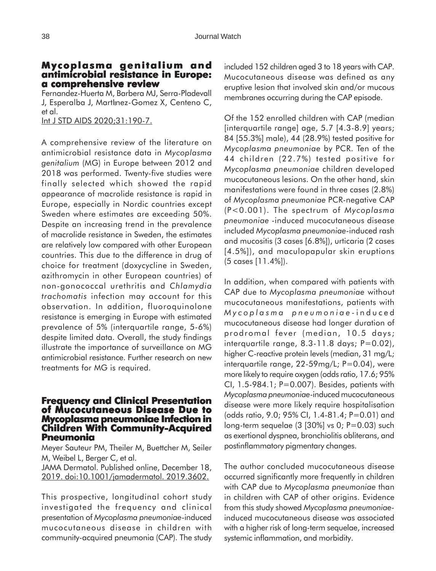#### **Mycoplasma genitalium and antimicrobial resistance in Europe: resistance a comprehensive review**

Fernandez-Huerta M, Barbera MJ, Serra-Pladevall J, Esperalba J, MartInez-Gomez X, Centeno C, et al.

Int J STD AIDS 2020;31:190-7.

A comprehensive review of the literature on antimicrobial resistance data in *Mycoplasma genitalium* (MG) in Europe between 2012 and 2018 was performed. Twenty-five studies were finally selected which showed the rapid appearance of macrolide resistance is rapid in Europe, especially in Nordic countries except Sweden where estimates are exceeding 50%. Despite an increasing trend in the prevalence of macrolide resistance in Sweden, the estimates are relatively low compared with other European countries. This due to the difference in drug of choice for treatment (doxycycline in Sweden, azithromycin in other European countries) of non-gonococcal urethritis and *Chlamydia trachomatis* infection may account for this observation. In addition, fluoroquinolone resistance is emerging in Europe with estimated prevalence of 5% (interquartile range, 5-6%) despite limited data. Overall, the study findings illustrate the importance of surveillance on MG antimicrobial resistance. Further research on new treatments for MG is required.

#### **Frequency and Clinical Presentation of Mucocutaneous Disease Due to Mycoplasma pneumoniae Infection in Children With Community-Acquired Pneumonia**

Meyer Sauteur PM, Theiler M, Buettcher M, Seiler M, Weibel L, Berger C, et al.

JAMA Dermatol. Published online, December 18, 2019. doi:10.1001/jamadermatol. 2019.3602.

This prospective, longitudinal cohort study investigated the frequency and clinical presentation of *Mycoplasma pneumoniae*-induced mucocutaneous disease in children with community-acquired pneumonia (CAP). The study included 152 children aged 3 to 18 years with CAP. Mucocutaneous disease was defined as any eruptive lesion that involved skin and/or mucous membranes occurring during the CAP episode.

Of the 152 enrolled children with CAP (median [interquartile range] age, 5.7 [4.3-8.9] years; 84 [55.3%] male), 44 (28.9%) tested positive for *Mycoplasma pneumoniae* by PCR. Ten of the 44 children (22.7%) tested positive for *Mycoplasma pneumoniae* children developed mucocutaneous lesions. On the other hand, skin manifestations were found in three cases (2.8%) of *Mycoplasma pneumoniae* PCR-negative CAP (P<0.001). The spectrum of *Mycoplasma pneumoniae* -induced mucocutaneous disease included *Mycoplasma pneumoniae*-induced rash and mucositis (3 cases [6.8%]), urticaria (2 cases [4.5%]), and maculopapular skin eruptions (5 cases [11.4%]).

In addition, when compared with patients with CAP due to *Mycoplasma pneumoniae* without mucocutaneous manifestations, patients with *Mycoplasma pneumoniae* -induced mucocutaneous disease had longer duration of prodromal fever (median, 10.5 days; interquartile range,  $8.3-11.8$  days;  $P=0.02$ ), higher C-reactive protein levels (median, 31 mg/L; interquartile range, 22-59mg/L; P=0.04), were more likely to require oxygen (odds ratio, 17.6; 95% CI, 1.5-984.1; P=0.007). Besides, patients with *Mycoplasma pneumoniae*-induced mucocutaneous disease were more likely require hospitalisation (odds ratio, 9.0; 95% CI, 1.4-81.4; P=0.01) and long-term sequelae  $(3 \, 30\%)$  vs 0; P=0.03) such as exertional dyspnea, bronchiolitis obliterans, and postinflammatory pigmentary changes.

The author concluded mucocutaneous disease occurred significantly more frequently in children with CAP due to *Mycoplasma pneumoniae* than in children with CAP of other origins. Evidence from this study showed *Mycoplasma pneumoniae*induced mucocutaneous disease was associated with a higher risk of long-term sequelae, increased systemic inflammation, and morbidity.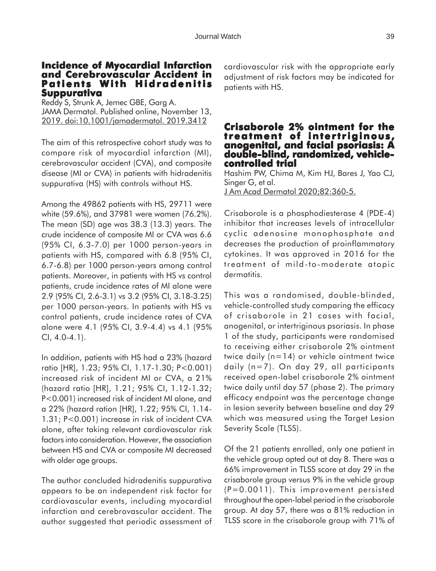### **Incidence of Myocardial Infarction and Cerebrovascular Accident in Patients With Hidradenitis Suppurativa**

Reddy S, Strunk A, Jemec GBE, Garg A. JAMA Dermatol. Published online, November 13, 2019. doi:10.1001/jamadermatol. 2019.3412

The aim of this retrospective cohort study was to compare risk of myocardial infarction (MI), cerebrovascular accident (CVA), and composite disease (MI or CVA) in patients with hidradenitis suppurativa (HS) with controls without HS.

Among the 49862 patients with HS, 29711 were white (59.6%), and 37981 were women (76.2%). The mean (SD) age was 38.3 (13.3) years. The crude incidence of composite MI or CVA was 6.6 (95% CI, 6.3-7.0) per 1000 person-years in patients with HS, compared with 6.8 (95% CI, 6.7-6.8) per 1000 person-years among control patients. Moreover, in patients with HS vs control patients, crude incidence rates of MI alone were 2.9 (95% CI, 2.6-3.1) vs 3.2 (95% CI, 3.18-3.25) per 1000 person-years. In patients with HS vs control patients, crude incidence rates of CVA alone were 4.1 (95% CI, 3.9-4.4) vs 4.1 (95% CI, 4.0-4.1).

In addition, patients with HS had a 23% (hazard ratio [HR], 1.23; 95% CI, 1.17-1.30; P<0.001) increased risk of incident MI or CVA, a 21% (hazard ratio [HR], 1.21; 95% CI, 1.12-1.32; P<0.001) increased risk of incident MI alone, and a 22% (hazard ration [HR], 1.22; 95% CI, 1.14- 1.31; P<0.001) increase in risk of incident CVA alone, after taking relevant cardiovascular risk factors into consideration. However, the association between HS and CVA or composite MI decreased with older age groups.

The author concluded hidradenitis suppurativa appears to be an independent risk factor for cardiovascular events, including myocardial infarction and cerebrovascular accident. The author suggested that periodic assessment of cardiovascular risk with the appropriate early adjustment of risk factors may be indicated for patients with HS.

#### **Crisaborole 2% ointment for the treatment of intertriginous, intertriginous, anogenital, and facial psoriasis: A double-blind, randomized, vehiclecontrolled trial trial**

Hashim PW, Chima M, Kim HJ, Bares J, Yao CJ, Singer G, et al. J Am Acad Dermatol 2020;82:360-5.

Crisaborole is a phosphodiesterase 4 (PDE-4) inhibitor that increases levels of intracellular cyclic adenosine monophosphate and decreases the production of proinflammatory cytokines. It was approved in 2016 for the treatment of mild-to-moderate atopic dermatitis.

This was a randomised, double-blinded, vehicle-controlled study comparing the efficacy of crisaborole in 21 cases with facial, anogenital, or intertriginous psoriasis. In phase 1 of the study, participants were randomised to receiving either crisaborole 2% ointment twice daily (n=14) or vehicle ointment twice daily (n=7). On day 29, all participants received open-label crisaborole 2% ointment twice daily until day 57 (phase 2). The primary efficacy endpoint was the percentage change in lesion severity between baseline and day 29 which was measured using the Target Lesion Severity Scale (TLSS).

Of the 21 patients enrolled, only one patient in the vehicle group opted out at day 8. There was a 66% improvement in TLSS score at day 29 in the crisaborole group versus 9% in the vehicle group (P=0.0011). This improvement persisted throughout the open-label period in the crisaborole group. At day 57, there was a 81% reduction in TLSS score in the crisaborole group with 71% of